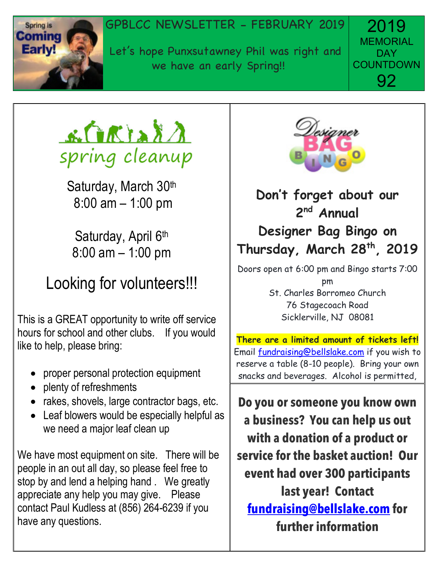

#### Spring is **GPBLCC NEWSLETTER - FEBRUARY 2019**

**Early!** Let's hope Punxsutawney Phil was right and we have an early Spring!!

2019 **MEMORIAL DAY COUNTDOWN** 92



Saturday, March 30th 8:00 am – 1:00 pm

Saturday, April 6<sup>th</sup> 8:00 am – 1:00 pm

### Looking for volunteers!!!

This is a GREAT opportunity to write off service hours for school and other clubs. If you would like to help, please bring:

- proper personal protection equipment
- plenty of refreshments
- rakes, shovels, large contractor bags, etc.
- Leaf blowers would be especially helpful as we need a major leaf clean up

We have most equipment on site. There will be people in an out all day, so please feel free to stop by and lend a helping hand . We greatly appreciate any help you may give. Please contact Paul Kudless at (856) 264-6239 if you have any questions.



#### **Don't forget about our 2 nd Annual Designer Bag Bingo on Thursday, March 28th, 2019**

Doors open at 6:00 pm and Bingo starts 7:00 pm St. Charles Borromeo Church 76 Stagecoach Road Sicklerville, NJ 08081

**There are a limited amount of tickets left!** Email fundraising@bellslake.com if you wish to reserve a table (8-10 people). Bring your own snacks and beverages. Alcohol is permitted,

**Do you or someone you know own a business? You can help us out with a donation of a product or service for the basket auction! Our event had over 300 participants last year! Contact fundraising@bellslake.com for further information**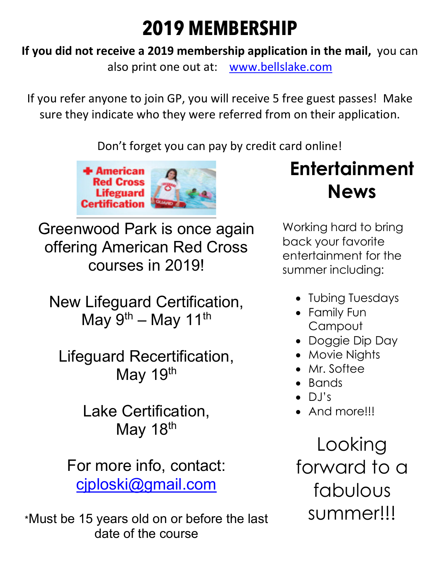## **2019 MEMBERSHIP**

**If you did not receive a 2019 membership application in the mail,** you can

also print one out at: www.bellslake.com

If you refer anyone to join GP, you will receive 5 free guest passes! Make sure they indicate who they were referred from on their application.

Don't forget you can pay by credit card online!



Greenwood Park is once again offering American Red Cross courses in 2019!

New Lifeguard Certification, May 9<sup>th</sup> – May 11<sup>th</sup>

Lifeguard Recertification, May 19th

> Lake Certification, May 18<sup>th</sup>

For more info, contact: cjploski@gmail.com

\*Must be 15 years old on or before the last date of the course

**Entertainment News**

Working hard to bring back your favorite entertainment for the summer including:

- Tubing Tuesdays
- Family Fun **Campout**
- Doggie Dip Day
- Movie Nights
- Mr. Softee
- Bands
- $\bullet$  DJ's
- And more!!!

Looking forward to a fabulous summer!!!